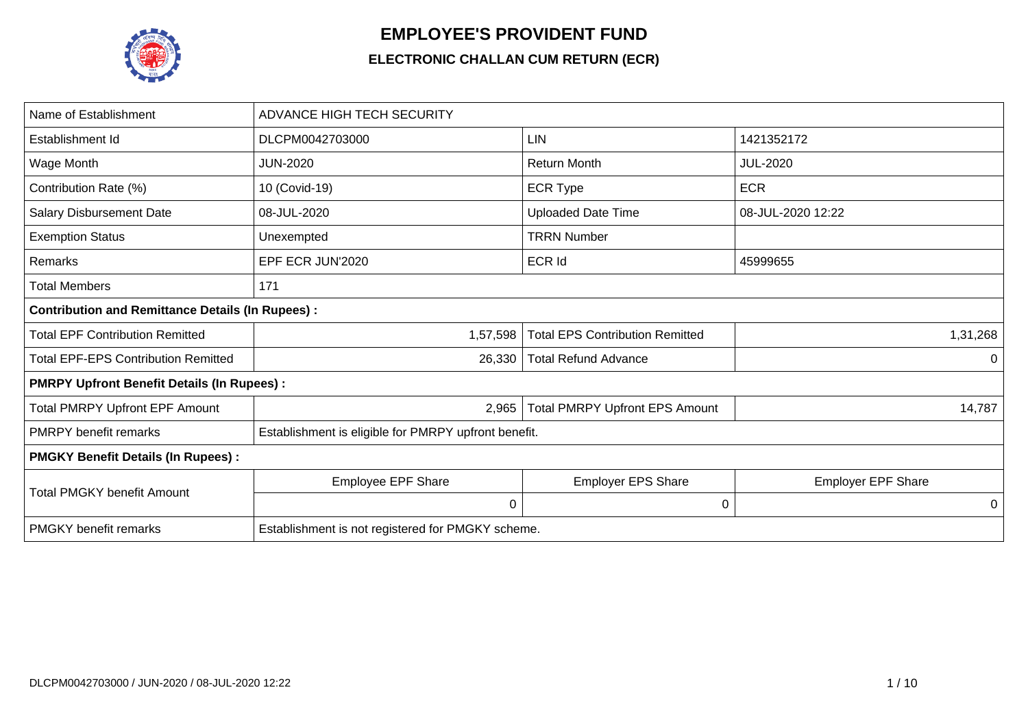

## **EMPLOYEE'S PROVIDENT FUND**

## **ELECTRONIC CHALLAN CUM RETURN (ECR)**

| Name of Establishment                                   | <b>ADVANCE HIGH TECH SECURITY</b>                    |                                        |                           |  |
|---------------------------------------------------------|------------------------------------------------------|----------------------------------------|---------------------------|--|
| Establishment Id                                        | DLCPM0042703000                                      | LIN                                    | 1421352172                |  |
| Wage Month                                              | <b>JUN-2020</b>                                      | <b>Return Month</b>                    | <b>JUL-2020</b>           |  |
| Contribution Rate (%)                                   | 10 (Covid-19)                                        | <b>ECR Type</b>                        | <b>ECR</b>                |  |
| <b>Salary Disbursement Date</b>                         | 08-JUL-2020                                          | <b>Uploaded Date Time</b>              | 08-JUL-2020 12:22         |  |
| <b>Exemption Status</b>                                 | Unexempted                                           | <b>TRRN Number</b>                     |                           |  |
| Remarks                                                 | EPF ECR JUN'2020                                     | <b>ECR Id</b>                          | 45999655                  |  |
| <b>Total Members</b>                                    | 171                                                  |                                        |                           |  |
| <b>Contribution and Remittance Details (In Rupees):</b> |                                                      |                                        |                           |  |
| <b>Total EPF Contribution Remitted</b>                  | 1,57,598                                             | <b>Total EPS Contribution Remitted</b> | 1,31,268                  |  |
| <b>Total EPF-EPS Contribution Remitted</b>              | 26,330                                               | <b>Total Refund Advance</b>            | 0                         |  |
| <b>PMRPY Upfront Benefit Details (In Rupees):</b>       |                                                      |                                        |                           |  |
| <b>Total PMRPY Upfront EPF Amount</b>                   | 2,965                                                | <b>Total PMRPY Upfront EPS Amount</b>  | 14,787                    |  |
| <b>PMRPY</b> benefit remarks                            | Establishment is eligible for PMRPY upfront benefit. |                                        |                           |  |
| <b>PMGKY Benefit Details (In Rupees):</b>               |                                                      |                                        |                           |  |
| <b>Total PMGKY benefit Amount</b>                       | Employee EPF Share                                   | <b>Employer EPS Share</b>              | <b>Employer EPF Share</b> |  |
|                                                         | 0                                                    | 0                                      | 0                         |  |
| <b>PMGKY</b> benefit remarks                            | Establishment is not registered for PMGKY scheme.    |                                        |                           |  |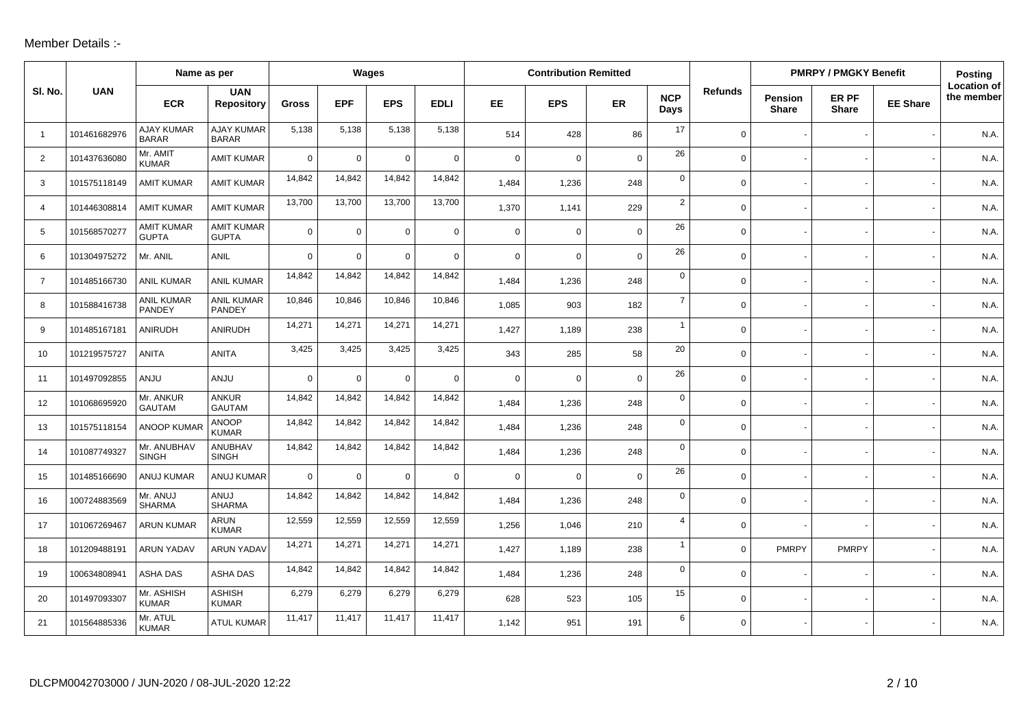## Member Details :-

|                |              | Name as per                       |                                   |              |              | Wages          |             |             | <b>Contribution Remitted</b> |             |                         |                |                                | <b>PMRPY / PMGKY Benefit</b> |                 | Posting                          |
|----------------|--------------|-----------------------------------|-----------------------------------|--------------|--------------|----------------|-------------|-------------|------------------------------|-------------|-------------------------|----------------|--------------------------------|------------------------------|-----------------|----------------------------------|
| SI. No.        | <b>UAN</b>   | <b>ECR</b>                        | <b>UAN</b><br><b>Repository</b>   | <b>Gross</b> | <b>EPF</b>   | <b>EPS</b>     | <b>EDLI</b> | EE.         | <b>EPS</b>                   | ER          | <b>NCP</b><br>Days      | <b>Refunds</b> | <b>Pension</b><br><b>Share</b> | ER PF<br><b>Share</b>        | <b>EE Share</b> | <b>Location of</b><br>the member |
| $\overline{1}$ | 101461682976 | <b>AJAY KUMAR</b><br><b>BARAR</b> | AJAY KUMAR<br><b>BARAR</b>        | 5,138        | 5,138        | 5,138          | 5,138       | 514         | 428                          | 86          | 17                      | $\mathbf 0$    |                                |                              |                 | N.A.                             |
| $\overline{2}$ | 101437636080 | Mr. AMIT<br><b>KUMAR</b>          | <b>AMIT KUMAR</b>                 | $\Omega$     | $\mathbf 0$  | $\overline{0}$ | $\mathsf 0$ | $\mathbf 0$ | $\mathbf 0$                  | 0           | 26                      | $\mathbf 0$    |                                |                              |                 | N.A.                             |
| 3              | 101575118149 | <b>AMIT KUMAR</b>                 | <b>AMIT KUMAR</b>                 | 14,842       | 14,842       | 14,842         | 14,842      | 1,484       | 1,236                        | 248         | $\mathbf 0$             | $\mathbf 0$    |                                |                              |                 | N.A.                             |
| $\overline{4}$ | 101446308814 | <b>AMIT KUMAR</b>                 | <b>AMIT KUMAR</b>                 | 13,700       | 13,700       | 13,700         | 13,700      | 1,370       | 1,141                        | 229         | $\overline{\mathbf{c}}$ | $\mathbf 0$    |                                |                              |                 | N.A.                             |
| 5              | 101568570277 | <b>AMIT KUMAR</b><br><b>GUPTA</b> | <b>AMIT KUMAR</b><br><b>GUPTA</b> | $\Omega$     | $\mathbf 0$  | $\overline{0}$ | $\mathbf 0$ | $\mathbf 0$ | $\mathbf 0$                  | $\mathbf 0$ | 26                      | $\mathbf 0$    |                                |                              |                 | N.A.                             |
| 6              | 101304975272 | Mr. ANIL                          | ANIL                              | $\Omega$     | $\Omega$     | $\Omega$       | $\mathbf 0$ | $\mathbf 0$ | $\mathbf 0$                  | $\mathbf 0$ | 26                      | $\mathbf 0$    |                                |                              |                 | N.A.                             |
| $\overline{7}$ | 101485166730 | <b>ANIL KUMAR</b>                 | <b>ANIL KUMAR</b>                 | 14,842       | 14,842       | 14,842         | 14,842      | 1,484       | 1,236                        | 248         | $\mathbf 0$             | $\mathbf 0$    |                                |                              |                 | N.A.                             |
| 8              | 101588416738 | <b>ANIL KUMAR</b><br>PANDEY       | <b>ANIL KUMAR</b><br>PANDEY       | 10,846       | 10,846       | 10,846         | 10,846      | 1.085       | 903                          | 182         | $\overline{7}$          | $\mathbf 0$    |                                |                              |                 | N.A.                             |
| 9              | 101485167181 | <b>ANIRUDH</b>                    | <b>ANIRUDH</b>                    | 14,271       | 14,271       | 14,271         | 14,271      | 1,427       | 1,189                        | 238         | $\mathbf{1}$            | $\mathsf{O}$   |                                |                              |                 | N.A.                             |
| 10             | 101219575727 | <b>ANITA</b>                      | <b>ANITA</b>                      | 3,425        | 3,425        | 3,425          | 3,425       | 343         | 285                          | 58          | 20                      | $\mathbf 0$    |                                |                              |                 | N.A.                             |
| 11             | 101497092855 | ANJU                              | ANJU                              | $\Omega$     | $\mathbf 0$  | $\Omega$       | $\Omega$    | $\Omega$    | $\mathbf 0$                  | $\mathbf 0$ | 26                      | $\mathbf 0$    |                                |                              |                 | N.A.                             |
| 12             | 101068695920 | Mr. ANKUR<br><b>GAUTAM</b>        | <b>ANKUR</b><br><b>GAUTAM</b>     | 14,842       | 14,842       | 14,842         | 14,842      | 1,484       | 1,236                        | 248         | $\mathbf 0$             | $\mathsf{O}$   |                                |                              |                 | N.A.                             |
| 13             | 101575118154 | <b>ANOOP KUMAF</b>                | <b>ANOOP</b><br><b>KUMAR</b>      | 14,842       | 14,842       | 14,842         | 14,842      | 1,484       | 1,236                        | 248         | $\mathbf 0$             | $\mathbf 0$    |                                |                              |                 | N.A.                             |
| 14             | 101087749327 | Mr. ANUBHAV<br><b>SINGH</b>       | ANUBHAV<br><b>SINGH</b>           | 14,842       | 14,842       | 14,842         | 14,842      | 1,484       | 1,236                        | 248         | $\mathbf 0$             | $\mathbf 0$    |                                |                              |                 | N.A.                             |
| 15             | 101485166690 | ANUJ KUMAR                        | ANUJ KUMAR                        | $\mathbf 0$  | $\mathsf{O}$ | $\overline{0}$ | $\mathbf 0$ | $\mathbf 0$ | $\mathbf 0$                  | $\mathbf 0$ | 26                      | $\mathsf{O}$   |                                |                              |                 | N.A.                             |
| 16             | 100724883569 | Mr. ANUJ<br><b>SHARMA</b>         | ANUJ<br><b>SHARMA</b>             | 14,842       | 14,842       | 14,842         | 14,842      | 1,484       | 1,236                        | 248         | 0                       | $\mathbf 0$    |                                |                              |                 | N.A.                             |
| 17             | 101067269467 | <b>ARUN KUMAR</b>                 | <b>ARUN</b><br><b>KUMAR</b>       | 12,559       | 12,559       | 12,559         | 12,559      | 1,256       | 1,046                        | 210         | $\overline{4}$          | $\mathbf 0$    |                                |                              |                 | N.A.                             |
| 18             | 101209488191 | <b>ARUN YADAV</b>                 | <b>ARUN YADAV</b>                 | 14,271       | 14,271       | 14,271         | 14,271      | 1,427       | 1,189                        | 238         | $\mathbf{1}$            | $\mathsf{O}$   | <b>PMRPY</b>                   | <b>PMRPY</b>                 |                 | N.A.                             |
| 19             | 100634808941 | <b>ASHA DAS</b>                   | ASHA DAS                          | 14,842       | 14,842       | 14,842         | 14,842      | 1,484       | 1,236                        | 248         | $\mathbf 0$             | $\mathbf 0$    |                                |                              |                 | N.A.                             |
| 20             | 101497093307 | Mr. ASHISH<br><b>KUMAR</b>        | <b>ASHISH</b><br><b>KUMAR</b>     | 6,279        | 6,279        | 6,279          | 6,279       | 628         | 523                          | 105         | 15                      | $\mathbf 0$    |                                |                              |                 | N.A.                             |
| 21             | 101564885336 | Mr. ATUL<br><b>KUMAR</b>          | <b>ATUL KUMAR</b>                 | 11,417       | 11,417       | 11,417         | 11,417      | 1,142       | 951                          | 191         | 6                       | $\mathbf 0$    |                                |                              |                 | N.A.                             |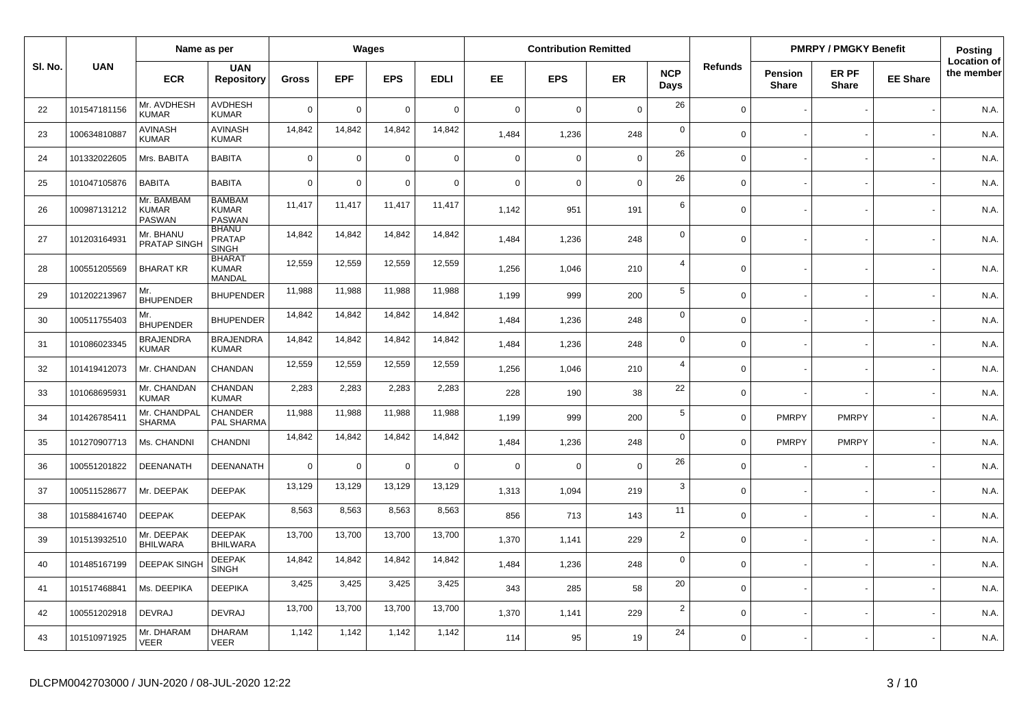|         |              | Name as per                          |                                                |                |             | Wages       |             |             | <b>Contribution Remitted</b> |             |                    |                |                         | <b>PMRPY / PMGKY Benefit</b> |                 | <b>Posting</b>                   |
|---------|--------------|--------------------------------------|------------------------------------------------|----------------|-------------|-------------|-------------|-------------|------------------------------|-------------|--------------------|----------------|-------------------------|------------------------------|-----------------|----------------------------------|
| SI. No. | <b>UAN</b>   | <b>ECR</b>                           | <b>UAN</b><br><b>Repository</b>                | <b>Gross</b>   | <b>EPF</b>  | <b>EPS</b>  | <b>EDLI</b> | EE.         | <b>EPS</b>                   | <b>ER</b>   | <b>NCP</b><br>Days | <b>Refunds</b> | Pension<br><b>Share</b> | ER PF<br><b>Share</b>        | <b>EE Share</b> | <b>Location of</b><br>the member |
| 22      | 101547181156 | Mr. AVDHESH<br><b>KUMAR</b>          | <b>AVDHESH</b><br><b>KUMAR</b>                 | $\overline{0}$ | $\mathbf 0$ | $\mathbf 0$ | $\Omega$    | $\mathbf 0$ | $\Omega$                     | $\mathbf 0$ | 26                 | $\mathbf 0$    |                         |                              |                 | N.A.                             |
| 23      | 100634810887 | <b>AVINASH</b><br><b>KUMAR</b>       | <b>AVINASH</b><br><b>KUMAR</b>                 | 14,842         | 14,842      | 14,842      | 14,842      | 1,484       | 1,236                        | 248         | $\mathbf 0$        | $\mathbf 0$    |                         |                              |                 | N.A.                             |
| 24      | 101332022605 | Mrs. BABITA                          | <b>BABITA</b>                                  | $\mathbf 0$    | $\mathbf 0$ | $\mathbf 0$ | $\mathbf 0$ | $\mathbf 0$ | $\Omega$                     | $\mathbf 0$ | 26                 | $\mathbf 0$    |                         |                              |                 | N.A.                             |
| 25      | 101047105876 | <b>BABITA</b>                        | <b>BABITA</b>                                  | $\overline{0}$ | $\mathbf 0$ | $\mathbf 0$ | $\mathbf 0$ | $\mathbf 0$ | $\Omega$                     | $\mathbf 0$ | 26                 | $\mathbf 0$    |                         |                              |                 | N.A.                             |
| 26      | 100987131212 | Mr. BAMBAM<br><b>KUMAR</b><br>PASWAN | <b>BAMBAM</b><br><b>KUMAR</b><br><b>PASWAN</b> | 11,417         | 11,417      | 11,417      | 11,417      | 1,142       | 951                          | 191         | 6                  | $\Omega$       |                         |                              |                 | N.A.                             |
| 27      | 101203164931 | Mr. BHANU<br><b>PRATAP SINGH</b>     | <b>BHANU</b><br><b>PRATAP</b><br><b>SINGH</b>  | 14,842         | 14,842      | 14,842      | 14,842      | 1,484       | 1,236                        | 248         | $\mathbf 0$        | $\Omega$       |                         |                              |                 | N.A.                             |
| 28      | 100551205569 | <b>BHARAT KR</b>                     | <b>BHARAT</b><br><b>KUMAR</b><br><b>MANDAL</b> | 12,559         | 12,559      | 12,559      | 12,559      | 1,256       | 1.046                        | 210         | $\overline{4}$     | $\Omega$       |                         |                              |                 | N.A.                             |
| 29      | 101202213967 | Mr.<br><b>BHUPENDER</b>              | <b>BHUPENDER</b>                               | 11,988         | 11,988      | 11,988      | 11,988      | 1,199       | 999                          | 200         | $5\phantom{.0}$    | $\mathbf 0$    |                         |                              |                 | N.A.                             |
| 30      | 100511755403 | Mr.<br><b>BHUPENDER</b>              | <b>BHUPENDER</b>                               | 14,842         | 14,842      | 14,842      | 14,842      | 1,484       | 1,236                        | 248         | $\mathbf 0$        | $\Omega$       |                         |                              |                 | N.A.                             |
| 31      | 101086023345 | <b>BRAJENDRA</b><br><b>KUMAR</b>     | <b>BRAJENDRA</b><br><b>KUMAR</b>               | 14,842         | 14,842      | 14,842      | 14,842      | 1,484       | 1,236                        | 248         | $\mathbf 0$        | $\mathbf 0$    |                         |                              |                 | N.A.                             |
| 32      | 101419412073 | Mr. CHANDAN                          | CHANDAN                                        | 12,559         | 12,559      | 12,559      | 12,559      | 1,256       | 1,046                        | 210         | $\overline{4}$     | $\Omega$       |                         |                              |                 | N.A.                             |
| 33      | 101068695931 | Mr. CHANDAN<br><b>KUMAR</b>          | <b>CHANDAN</b><br><b>KUMAR</b>                 | 2,283          | 2,283       | 2,283       | 2,283       | 228         | 190                          | 38          | 22                 | $\mathbf 0$    |                         |                              |                 | N.A.                             |
| 34      | 101426785411 | Mr. CHANDPAL<br><b>SHARMA</b>        | <b>CHANDER</b><br><b>PAL SHARMA</b>            | 11,988         | 11,988      | 11,988      | 11,988      | 1,199       | 999                          | 200         | $5\phantom{.0}$    | $\Omega$       | <b>PMRPY</b>            | <b>PMRPY</b>                 |                 | N.A.                             |
| 35      | 101270907713 | Ms. CHANDNI                          | CHANDNI                                        | 14,842         | 14,842      | 14,842      | 14,842      | 1,484       | 1,236                        | 248         | $\mathbf 0$        | $\Omega$       | <b>PMRPY</b>            | <b>PMRPY</b>                 |                 | N.A.                             |
| 36      | 100551201822 | DEENANATH                            | <b>DEENANATH</b>                               | $\overline{0}$ | $\mathbf 0$ | $\mathbf 0$ | $\mathbf 0$ | $\mathbf 0$ | $\Omega$                     | $\mathbf 0$ | 26                 | $\mathbf 0$    |                         |                              |                 | N.A.                             |
| 37      | 100511528677 | Mr. DEEPAK                           | <b>DEEPAK</b>                                  | 13,129         | 13,129      | 13,129      | 13,129      | 1,313       | 1,094                        | 219         | 3                  | $\mathbf 0$    |                         |                              |                 | N.A.                             |
| 38      | 101588416740 | <b>DEEPAK</b>                        | <b>DEEPAK</b>                                  | 8,563          | 8,563       | 8,563       | 8,563       | 856         | 713                          | 143         | 11                 | $\mathbf 0$    |                         |                              |                 | N.A.                             |
| 39      | 101513932510 | Mr. DEEPAK<br><b>BHILWARA</b>        | <b>DEEPAK</b><br><b>BHILWARA</b>               | 13,700         | 13,700      | 13,700      | 13,700      | 1,370       | 1,141                        | 229         | $\overline{2}$     | $\Omega$       |                         |                              |                 | N.A.                             |
| 40      | 101485167199 | <b>DEEPAK SINGH</b>                  | <b>DEEPAK</b><br><b>SINGH</b>                  | 14,842         | 14,842      | 14,842      | 14,842      | 1,484       | 1,236                        | 248         | $\mathbf 0$        | $\mathbf 0$    |                         |                              |                 | N.A.                             |
| 41      | 101517468841 | Ms. DEEPIKA                          | <b>DEEPIKA</b>                                 | 3,425          | 3,425       | 3,425       | 3,425       | 343         | 285                          | 58          | 20                 | $\mathbf 0$    |                         |                              |                 | N.A.                             |
| 42      | 100551202918 | <b>DEVRAJ</b>                        | <b>DEVRAJ</b>                                  | 13,700         | 13,700      | 13,700      | 13,700      | 1,370       | 1,141                        | 229         | $\overline{2}$     | $\Omega$       |                         |                              |                 | N.A.                             |
| 43      | 101510971925 | Mr. DHARAM<br>VEER                   | <b>DHARAM</b><br><b>VEER</b>                   | 1,142          | 1,142       | 1,142       | 1,142       | 114         | 95                           | 19          | 24                 | $\Omega$       |                         |                              |                 | N.A.                             |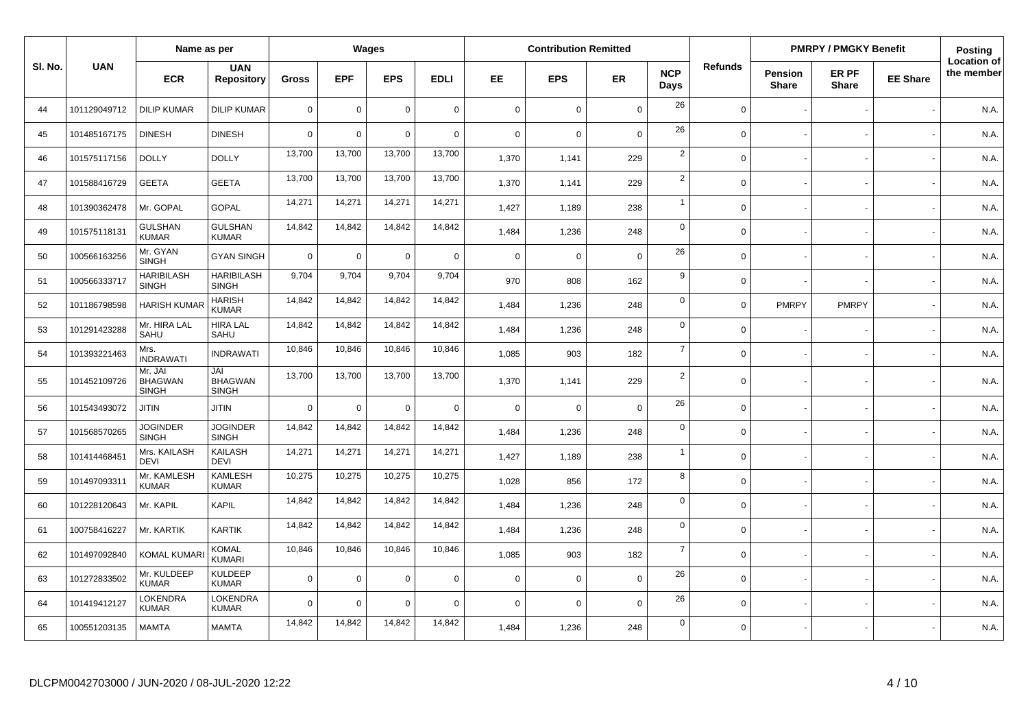|         |              | Name as per                               |                                       |                |             | Wages       |             |             | <b>Contribution Remitted</b> |             |                    |                |                                | <b>PMRPY / PMGKY Benefit</b> |                 | <b>Posting</b>                   |
|---------|--------------|-------------------------------------------|---------------------------------------|----------------|-------------|-------------|-------------|-------------|------------------------------|-------------|--------------------|----------------|--------------------------------|------------------------------|-----------------|----------------------------------|
| SI. No. | <b>UAN</b>   | <b>ECR</b>                                | <b>UAN</b><br><b>Repository</b>       | <b>Gross</b>   | <b>EPF</b>  | <b>EPS</b>  | <b>EDLI</b> | EE.         | <b>EPS</b>                   | <b>ER</b>   | <b>NCP</b><br>Days | <b>Refunds</b> | <b>Pension</b><br><b>Share</b> | ER PF<br><b>Share</b>        | <b>EE Share</b> | <b>Location of</b><br>the member |
| 44      | 101129049712 | <b>DILIP KUMAR</b>                        | <b>DILIP KUMAR</b>                    | $\overline{0}$ | $\mathsf 0$ | $\mathbf 0$ | $\mathbf 0$ | $\mathbf 0$ | $\mathbf 0$                  | $\mathbf 0$ | 26                 | $\mathbf 0$    |                                |                              |                 | N.A.                             |
| 45      | 101485167175 | <b>DINESH</b>                             | <b>DINESH</b>                         | $\overline{0}$ | $\mathsf 0$ | $\mathbf 0$ | $\mathbf 0$ | $\mathbf 0$ | $\overline{0}$               | $\mathbf 0$ | 26                 | $\Omega$       |                                |                              |                 | N.A.                             |
| 46      | 101575117156 | <b>DOLLY</b>                              | <b>DOLLY</b>                          | 13,700         | 13,700      | 13,700      | 13,700      | 1,370       | 1,141                        | 229         | $\overline{2}$     | $\Omega$       |                                |                              |                 | N.A.                             |
| 47      | 101588416729 | <b>GEETA</b>                              | <b>GEETA</b>                          | 13,700         | 13,700      | 13,700      | 13,700      | 1,370       | 1,141                        | 229         | $\overline{2}$     | $\mathbf 0$    |                                |                              |                 | N.A.                             |
| 48      | 101390362478 | Mr. GOPAL                                 | <b>GOPAL</b>                          | 14,271         | 14,271      | 14,271      | 14,271      | 1,427       | 1,189                        | 238         | $\mathbf{1}$       | $\mathbf 0$    |                                |                              |                 | N.A.                             |
| 49      | 101575118131 | <b>GULSHAN</b><br><b>KUMAR</b>            | <b>GULSHAN</b><br><b>KUMAR</b>        | 14,842         | 14,842      | 14,842      | 14,842      | 1,484       | 1,236                        | 248         | $\mathsf 0$        | $\mathbf 0$    |                                |                              |                 | N.A.                             |
| 50      | 100566163256 | Mr. GYAN<br>SINGH                         | <b>GYAN SINGH</b>                     | $\overline{0}$ | $\mathbf 0$ | $\mathbf 0$ | $\mathbf 0$ | $\mathsf 0$ | $\overline{0}$               | $\mathbf 0$ | 26                 | $\mathsf 0$    |                                |                              |                 | N.A.                             |
| 51      | 100566333717 | <b>HARIBILASH</b><br>SINGH                | <b>HARIBILASH</b><br><b>SINGH</b>     | 9,704          | 9,704       | 9,704       | 9,704       | 970         | 808                          | 162         | 9                  | $\mathbf 0$    |                                |                              |                 | N.A.                             |
| 52      | 101186798598 | <b>HARISH KUMA</b>                        | <b>HARISH</b><br><b>KUMAR</b>         | 14,842         | 14,842      | 14,842      | 14,842      | 1,484       | 1,236                        | 248         | $\mathbf 0$        | $\mathbf 0$    | <b>PMRPY</b>                   | <b>PMRPY</b>                 |                 | N.A.                             |
| 53      | 101291423288 | Mr. HIRA LAL<br>SAHU                      | <b>HIRA LAL</b><br>SAHU               | 14,842         | 14,842      | 14,842      | 14,842      | 1,484       | 1,236                        | 248         | $\mathbf 0$        | $\Omega$       |                                |                              |                 | N.A.                             |
| 54      | 101393221463 | Mrs.<br><b>INDRAWATI</b>                  | <b>INDRAWATI</b>                      | 10,846         | 10,846      | 10,846      | 10,846      | 1,085       | 903                          | 182         | $\overline{7}$     | $\mathbf 0$    |                                |                              |                 | N.A.                             |
| 55      | 101452109726 | Mr. JAI<br><b>BHAGWAN</b><br><b>SINGH</b> | JAI<br><b>BHAGWAN</b><br><b>SINGH</b> | 13,700         | 13,700      | 13,700      | 13,700      | 1,370       | 1,141                        | 229         | $\overline{2}$     | $\mathbf 0$    |                                |                              |                 | N.A.                             |
| 56      | 101543493072 | <b>JITIN</b>                              | <b>JITIN</b>                          | $\overline{0}$ | $\mathbf 0$ | $\mathbf 0$ | $\Omega$    | $\mathsf 0$ | $\Omega$                     | $\Omega$    | 26                 | $\Omega$       |                                |                              |                 | N.A.                             |
| 57      | 101568570265 | <b>JOGINDER</b><br><b>SINGH</b>           | <b>JOGINDER</b><br><b>SINGH</b>       | 14,842         | 14,842      | 14,842      | 14,842      | 1,484       | 1,236                        | 248         | $\mathbf 0$        | $\mathbf 0$    |                                |                              |                 | N.A.                             |
| 58      | 101414468451 | Mrs. KAILASH<br><b>DEVI</b>               | <b>KAILASH</b><br><b>DEVI</b>         | 14,271         | 14,271      | 14,271      | 14,271      | 1,427       | 1,189                        | 238         | $\mathbf{1}$       | $\mathbf 0$    |                                |                              |                 | N.A.                             |
| 59      | 101497093311 | Mr. KAMLESH<br><b>KUMAR</b>               | <b>KAMLESH</b><br><b>KUMAR</b>        | 10,275         | 10,275      | 10,275      | 10,275      | 1,028       | 856                          | 172         | 8                  | $\Omega$       |                                |                              |                 | N.A.                             |
| 60      | 101228120643 | Mr. KAPIL                                 | <b>KAPIL</b>                          | 14,842         | 14,842      | 14,842      | 14,842      | 1,484       | 1,236                        | 248         | $\mathbf 0$        | $\Omega$       |                                |                              |                 | N.A.                             |
| 61      | 100758416227 | Mr. KARTIK                                | <b>KARTIK</b>                         | 14,842         | 14,842      | 14,842      | 14,842      | 1,484       | 1,236                        | 248         | $\mathsf 0$        | $\Omega$       |                                |                              |                 | N.A.                             |
| 62      | 101497092840 | <b>KOMAL KUMAR</b>                        | <b>KOMAL</b><br><b>KUMARI</b>         | 10,846         | 10,846      | 10,846      | 10,846      | 1,085       | 903                          | 182         | $\overline{7}$     | $\Omega$       |                                |                              |                 | N.A.                             |
| 63      | 101272833502 | Mr. KULDEEP<br><b>KUMAR</b>               | <b>KULDEEP</b><br><b>KUMAR</b>        | $\overline{0}$ | $\mathbf 0$ | $\mathbf 0$ | $\mathbf 0$ | $\mathbf 0$ | $\mathbf 0$                  | $\mathbf 0$ | 26                 | $\mathbf 0$    |                                |                              |                 | N.A.                             |
| 64      | 101419412127 | LOKENDRA<br><b>KUMAR</b>                  | <b>LOKENDRA</b><br><b>KUMAR</b>       | $\overline{0}$ | $\mathbf 0$ | $\mathbf 0$ | $\Omega$    | $\mathbf 0$ | $\Omega$                     | $\Omega$    | 26                 | $\Omega$       |                                |                              |                 | N.A.                             |
| 65      | 100551203135 | <b>MAMTA</b>                              | <b>MAMTA</b>                          | 14,842         | 14,842      | 14,842      | 14,842      | 1,484       | 1,236                        | 248         | $\mathbf 0$        | $\Omega$       |                                |                              |                 | N.A.                             |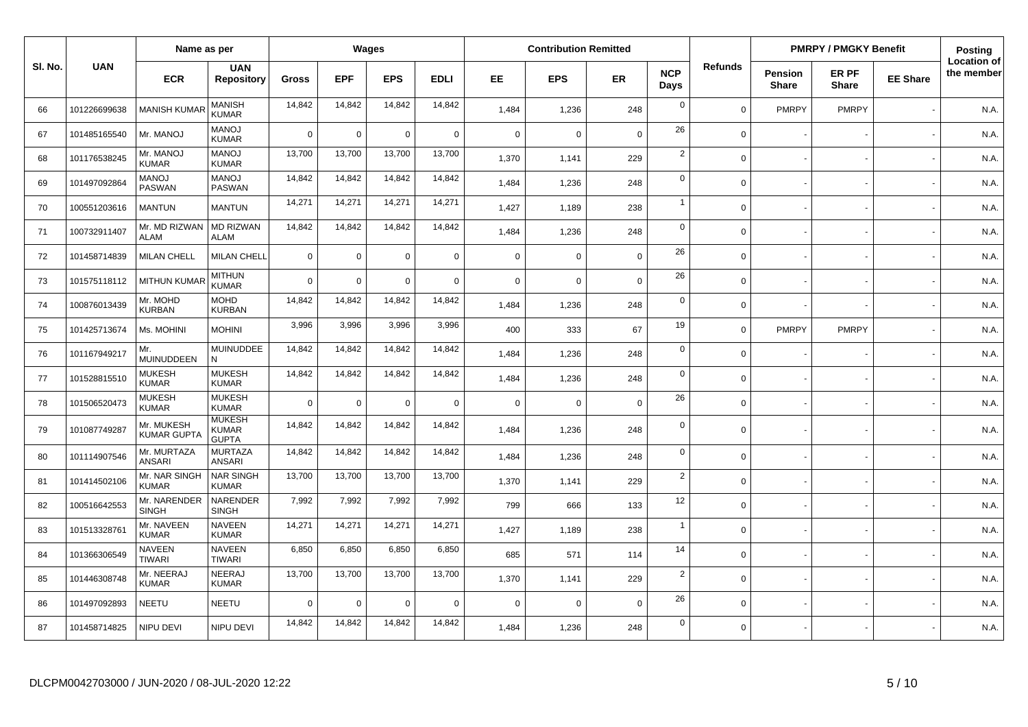|         |              | Name as per                    |                                               |                |             | Wages       |             |             | <b>Contribution Remitted</b> |             |                    |                |                         | <b>PMRPY / PMGKY Benefit</b> |                 | <b>Posting</b>                   |
|---------|--------------|--------------------------------|-----------------------------------------------|----------------|-------------|-------------|-------------|-------------|------------------------------|-------------|--------------------|----------------|-------------------------|------------------------------|-----------------|----------------------------------|
| SI. No. | <b>UAN</b>   | <b>ECR</b>                     | <b>UAN</b><br><b>Repository</b>               | <b>Gross</b>   | <b>EPF</b>  | <b>EPS</b>  | <b>EDLI</b> | EE          | <b>EPS</b>                   | ER          | <b>NCP</b><br>Days | <b>Refunds</b> | Pension<br><b>Share</b> | ER PF<br><b>Share</b>        | <b>EE Share</b> | <b>Location of</b><br>the member |
| 66      | 101226699638 | <b>MANISH KUMAF</b>            | MANISH<br>KUMAR                               | 14,842         | 14,842      | 14,842      | 14,842      | 1,484       | 1,236                        | 248         | $\mathbf 0$        | $\Omega$       | <b>PMRPY</b>            | <b>PMRPY</b>                 |                 | N.A.                             |
| 67      | 101485165540 | Mr. MANOJ                      | <b>MANOJ</b><br><b>KUMAR</b>                  | $\Omega$       | $\mathbf 0$ | $\mathbf 0$ | $\mathbf 0$ | $\mathbf 0$ | $\mathbf 0$                  | $\mathbf 0$ | 26                 | $\Omega$       |                         |                              |                 | N.A.                             |
| 68      | 101176538245 | Mr. MANOJ<br><b>KUMAR</b>      | <b>MANOJ</b><br><b>KUMAR</b>                  | 13,700         | 13,700      | 13,700      | 13,700      | 1,370       | 1,141                        | 229         | $\sqrt{2}$         | $\mathbf 0$    |                         |                              |                 | N.A.                             |
| 69      | 101497092864 | <b>MANOJ</b><br><b>PASWAN</b>  | <b>MANOJ</b><br><b>PASWAN</b>                 | 14,842         | 14,842      | 14,842      | 14,842      | 1,484       | 1,236                        | 248         | $\mathbf 0$        | $\Omega$       |                         |                              |                 | N.A.                             |
| 70      | 100551203616 | <b>MANTUN</b>                  | <b>MANTUN</b>                                 | 14,271         | 14,271      | 14,271      | 14,271      | 1,427       | 1,189                        | 238         | $\overline{1}$     | $\mathbf 0$    |                         |                              |                 | N.A.                             |
| 71      | 100732911407 | Mr. MD RIZWAN<br>ALAM          | <b>MD RIZWAN</b><br><b>ALAM</b>               | 14,842         | 14,842      | 14,842      | 14,842      | 1,484       | 1,236                        | 248         | $\mathbf 0$        | $\Omega$       |                         |                              |                 | N.A.                             |
| 72      | 101458714839 | <b>MILAN CHELL</b>             | <b>MILAN CHELL</b>                            | $\overline{0}$ | $\mathbf 0$ | $\mathbf 0$ | $\mathbf 0$ | $\mathbf 0$ | $\mathbf 0$                  | $\mathbf 0$ | 26                 | $\mathbf 0$    |                         |                              |                 | N.A.                             |
| 73      | 101575118112 | <b>MITHUN KUMA</b>             | <b>MITHUN</b><br><b>KUMAR</b>                 | $\Omega$       | $\mathbf 0$ | $\mathbf 0$ | $\mathbf 0$ | $\mathbf 0$ | $\Omega$                     | $\mathbf 0$ | 26                 | $\mathbf 0$    |                         |                              |                 | N.A.                             |
| 74      | 100876013439 | Mr. MOHD<br>KURBAN             | <b>MOHD</b><br><b>KURBAN</b>                  | 14,842         | 14,842      | 14,842      | 14,842      | 1,484       | 1,236                        | 248         | $\mathbf 0$        | $\mathbf 0$    |                         |                              |                 | N.A.                             |
| 75      | 101425713674 | Ms. MOHINI                     | <b>MOHINI</b>                                 | 3,996          | 3,996       | 3,996       | 3,996       | 400         | 333                          | 67          | 19                 | $\mathbf 0$    | <b>PMRPY</b>            | <b>PMRPY</b>                 |                 | N.A.                             |
| 76      | 101167949217 | Mr.<br><b>MUINUDDEEN</b>       | MUINUDDEE<br>N                                | 14,842         | 14,842      | 14,842      | 14,842      | 1,484       | 1,236                        | 248         | $\mathbf 0$        | $\mathbf 0$    |                         |                              |                 | N.A.                             |
| 77      | 101528815510 | <b>MUKESH</b><br><b>KUMAR</b>  | <b>MUKESH</b><br><b>KUMAR</b>                 | 14,842         | 14,842      | 14,842      | 14,842      | 1,484       | 1,236                        | 248         | $\mathbf 0$        | $\Omega$       |                         |                              |                 | N.A.                             |
| 78      | 101506520473 | <b>MUKESH</b><br><b>KUMAR</b>  | <b>MUKESH</b><br><b>KUMAR</b>                 | $\Omega$       | $\mathbf 0$ | $\mathbf 0$ | $\mathbf 0$ | $\mathbf 0$ | $\mathbf 0$                  | $\mathbf 0$ | 26                 | $\mathbf 0$    |                         |                              |                 | N.A.                             |
| 79      | 101087749287 | Mr. MUKESH<br>KUMAR GUPT/      | <b>MUKESH</b><br><b>KUMAR</b><br><b>GUPTA</b> | 14,842         | 14,842      | 14,842      | 14,842      | 1,484       | 1,236                        | 248         | $\mathbf 0$        | $\Omega$       |                         |                              |                 | N.A.                             |
| 80      | 101114907546 | Mr. MURTAZA<br><b>ANSARI</b>   | <b>MURTAZA</b><br><b>ANSARI</b>               | 14,842         | 14,842      | 14,842      | 14,842      | 1,484       | 1,236                        | 248         | $\mathbf 0$        | $\mathbf 0$    |                         |                              |                 | N.A.                             |
| 81      | 101414502106 | Mr. NAR SINGH<br><b>KUMAR</b>  | <b>NAR SINGH</b><br><b>KUMAR</b>              | 13,700         | 13,700      | 13,700      | 13,700      | 1,370       | 1,141                        | 229         | $\overline{2}$     | $\Omega$       |                         |                              |                 | N.A.                             |
| 82      | 100516642553 | Mr. NARENDER<br><b>SINGH</b>   | <b>NARENDER</b><br><b>SINGH</b>               | 7,992          | 7,992       | 7,992       | 7,992       | 799         | 666                          | 133         | 12                 | $\mathbf 0$    |                         |                              |                 | N.A.                             |
| 83      | 101513328761 | Mr. NAVEEN<br><b>KUMAR</b>     | <b>NAVEEN</b><br><b>KUMAR</b>                 | 14,271         | 14,271      | 14,271      | 14,271      | 1,427       | 1,189                        | 238         | $\overline{1}$     | $\Omega$       |                         |                              |                 | N.A.                             |
| 84      | 101366306549 | <b>NAVEEN</b><br><b>TIWARI</b> | <b>NAVEEN</b><br><b>TIWARI</b>                | 6,850          | 6,850       | 6,850       | 6,850       | 685         | 571                          | 114         | 14                 | $\Omega$       |                         |                              |                 | N.A.                             |
| 85      | 101446308748 | Mr. NEERAJ<br><b>KUMAR</b>     | <b>NEERAJ</b><br><b>KUMAR</b>                 | 13,700         | 13,700      | 13,700      | 13,700      | 1,370       | 1,141                        | 229         | $\overline{2}$     | $\mathbf 0$    |                         |                              |                 | N.A.                             |
| 86      | 101497092893 | <b>NEETU</b>                   | <b>NEETU</b>                                  | $\Omega$       | $\Omega$    | $\mathbf 0$ | $\mathbf 0$ | $\mathbf 0$ | $\Omega$                     | $\mathbf 0$ | 26                 | $\Omega$       |                         |                              |                 | N.A.                             |
| 87      | 101458714825 | NIPU DEVI                      | NIPU DEVI                                     | 14,842         | 14,842      | 14,842      | 14,842      | 1,484       | 1,236                        | 248         | $\mathbf 0$        | $\Omega$       |                         |                              |                 | N.A.                             |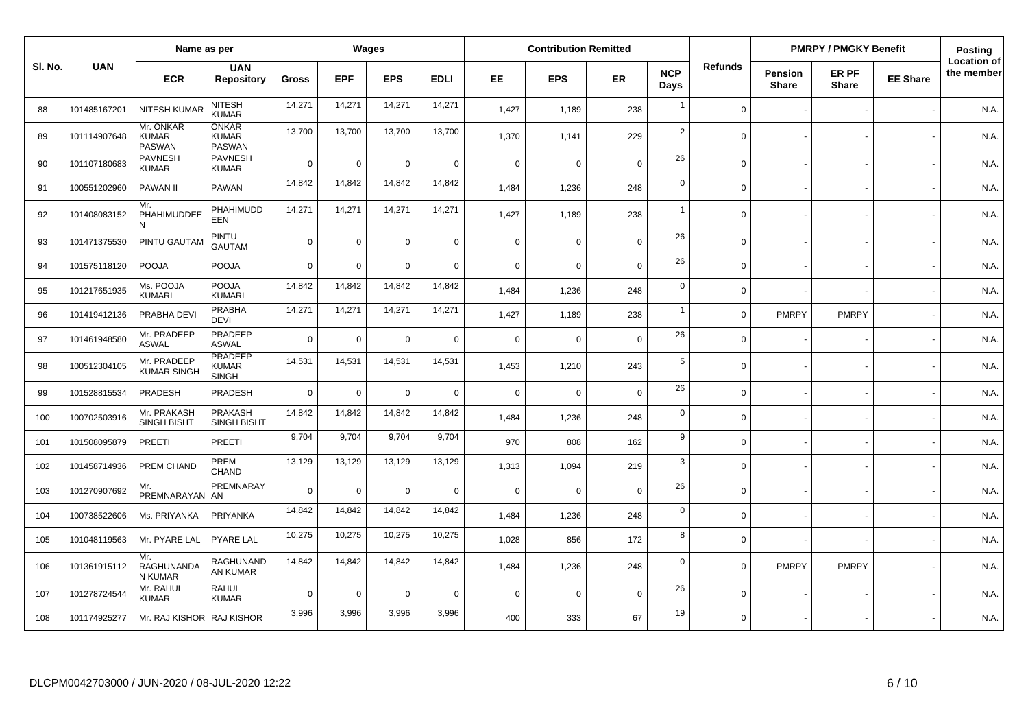|         |              | Name as per                                |                                                |                |             | Wages       |             |             | <b>Contribution Remitted</b> |             |                    |                |                  | <b>PMRPY / PMGKY Benefit</b> |                 | Posting                          |
|---------|--------------|--------------------------------------------|------------------------------------------------|----------------|-------------|-------------|-------------|-------------|------------------------------|-------------|--------------------|----------------|------------------|------------------------------|-----------------|----------------------------------|
| SI. No. | <b>UAN</b>   | <b>ECR</b>                                 | <b>UAN</b><br><b>Repository</b>                | Gross          | <b>EPF</b>  | <b>EPS</b>  | <b>EDLI</b> | EE.         | <b>EPS</b>                   | <b>ER</b>   | <b>NCP</b><br>Days | <b>Refunds</b> | Pension<br>Share | ER PF<br><b>Share</b>        | <b>EE Share</b> | <b>Location of</b><br>the member |
| 88      | 101485167201 | <b>NITESH KUMAF</b>                        | <b>NITESH</b><br><b>KUMAR</b>                  | 14,271         | 14,271      | 14,271      | 14,271      | 1,427       | 1,189                        | 238         | $\overline{1}$     | $\Omega$       |                  |                              |                 | N.A.                             |
| 89      | 101114907648 | Mr. ONKAR<br><b>KUMAR</b><br><b>PASWAN</b> | <b>ONKAR</b><br><b>KUMAR</b><br><b>PASWAN</b>  | 13,700         | 13,700      | 13,700      | 13,700      | 1,370       | 1,141                        | 229         | $\overline{2}$     | $\Omega$       |                  |                              |                 | N.A.                             |
| 90      | 101107180683 | <b>PAVNESH</b><br><b>KUMAR</b>             | <b>PAVNESH</b><br><b>KUMAR</b>                 | $\Omega$       | $\mathbf 0$ | $\mathbf 0$ | $\mathbf 0$ | $\mathbf 0$ | $\Omega$                     | $\Omega$    | 26                 | $\Omega$       |                  |                              |                 | N.A.                             |
| 91      | 100551202960 | PAWAN II                                   | PAWAN                                          | 14,842         | 14,842      | 14,842      | 14,842      | 1,484       | 1,236                        | 248         | $\pmb{0}$          | $\Omega$       |                  |                              |                 | N.A.                             |
| 92      | 101408083152 | Mr.<br>PHAHIMUDDEE<br>N                    | PHAHIMUDD<br><b>EEN</b>                        | 14,271         | 14,271      | 14,271      | 14,271      | 1,427       | 1,189                        | 238         | $\overline{1}$     | $\Omega$       |                  |                              |                 | N.A.                             |
| 93      | 101471375530 | PINTU GAUTAM                               | <b>PINTU</b><br><b>GAUTAM</b>                  | $\overline{0}$ | $\mathbf 0$ | $\mathbf 0$ | $\mathbf 0$ | $\mathsf 0$ | $\mathbf 0$                  | $\mathbf 0$ | 26                 | $\mathbf 0$    |                  |                              |                 | N.A.                             |
| 94      | 101575118120 | <b>POOJA</b>                               | <b>POOJA</b>                                   | $\overline{0}$ | $\mathbf 0$ | $\mathbf 0$ | $\mathbf 0$ | $\mathbf 0$ | $\Omega$                     | $\mathbf 0$ | 26                 | $\mathbf 0$    |                  |                              |                 | N.A.                             |
| 95      | 101217651935 | Ms. POOJA<br><b>KUMARI</b>                 | <b>POOJA</b><br><b>KUMARI</b>                  | 14,842         | 14,842      | 14,842      | 14,842      | 1,484       | 1,236                        | 248         | $\mathbf 0$        | $\mathbf 0$    |                  |                              |                 | N.A.                             |
| 96      | 101419412136 | PRABHA DEVI                                | <b>PRABHA</b><br><b>DEVI</b>                   | 14,271         | 14,271      | 14,271      | 14,271      | 1,427       | 1,189                        | 238         | $\overline{1}$     | $\mathbf 0$    | <b>PMRPY</b>     | <b>PMRPY</b>                 |                 | N.A.                             |
| 97      | 101461948580 | Mr. PRADEEP<br><b>ASWAL</b>                | PRADEEP<br><b>ASWAL</b>                        | $\overline{0}$ | $\mathbf 0$ | $\mathbf 0$ | $\mathbf 0$ | $\mathbf 0$ | $\Omega$                     | $\mathbf 0$ | 26                 | $\Omega$       |                  |                              |                 | N.A.                             |
| 98      | 100512304105 | Mr. PRADEEP<br><b>KUMAR SINGH</b>          | <b>PRADEEP</b><br><b>KUMAR</b><br><b>SINGH</b> | 14,531         | 14,531      | 14,531      | 14,531      | 1,453       | 1,210                        | 243         | 5                  | $\mathbf 0$    |                  |                              |                 | N.A.                             |
| 99      | 101528815534 | PRADESH                                    | PRADESH                                        | $\Omega$       | $\mathbf 0$ | $\mathbf 0$ | $\mathbf 0$ | $\mathsf 0$ | $\Omega$                     | $\Omega$    | 26                 | $\Omega$       |                  |                              |                 | N.A.                             |
| 100     | 100702503916 | Mr. PRAKASH<br><b>SINGH BISHT</b>          | <b>PRAKASH</b><br><b>SINGH BISHT</b>           | 14,842         | 14,842      | 14,842      | 14,842      | 1,484       | 1,236                        | 248         | $\mathbf 0$        | $\Omega$       |                  |                              |                 | N.A.                             |
| 101     | 101508095879 | <b>PREETI</b>                              | PREETI                                         | 9,704          | 9,704       | 9,704       | 9,704       | 970         | 808                          | 162         | 9                  | $\Omega$       |                  |                              |                 | N.A.                             |
| 102     | 101458714936 | PREM CHAND                                 | PREM<br><b>CHAND</b>                           | 13,129         | 13,129      | 13,129      | 13,129      | 1,313       | 1,094                        | 219         | 3                  | $\Omega$       |                  |                              |                 | N.A.                             |
| 103     | 101270907692 | Mr.<br>PREMNARAYAN   AN                    | PREMNARAY                                      | $\Omega$       | $\mathbf 0$ | $\mathbf 0$ | $\mathbf 0$ | $\mathbf 0$ | $\Omega$                     | $\mathbf 0$ | 26                 | $\Omega$       |                  |                              |                 | N.A.                             |
| 104     | 100738522606 | Ms. PRIYANKA                               | <b>PRIYANKA</b>                                | 14,842         | 14,842      | 14,842      | 14,842      | 1,484       | 1,236                        | 248         | $\mathbf 0$        | $\Omega$       |                  |                              |                 | N.A.                             |
| 105     | 101048119563 | Mr. PYARE LAL                              | PYARE LAL                                      | 10,275         | 10,275      | 10,275      | 10,275      | 1,028       | 856                          | 172         | 8                  | $\mathbf 0$    |                  |                              |                 | N.A.                             |
| 106     | 101361915112 | Mr.<br><b>RAGHUNANDA</b><br>N KUMAR        | <b>RAGHUNAND</b><br>AN KUMAR                   | 14,842         | 14,842      | 14,842      | 14,842      | 1,484       | 1,236                        | 248         | $\mathbf 0$        | $\mathbf 0$    | <b>PMRPY</b>     | <b>PMRPY</b>                 |                 | N.A.                             |
| 107     | 101278724544 | Mr. RAHUL<br><b>KUMAR</b>                  | <b>RAHUL</b><br><b>KUMAR</b>                   | $\overline{0}$ | $\mathbf 0$ | $\mathbf 0$ | $\mathbf 0$ | $\mathbf 0$ | $\Omega$                     | $\mathbf 0$ | 26                 | $\Omega$       |                  |                              |                 | N.A.                             |
| 108     | 101174925277 | Mr. RAJ KISHOR   RAJ KISHOR                |                                                | 3,996          | 3,996       | 3,996       | 3,996       | 400         | 333                          | 67          | 19                 | $\Omega$       |                  |                              |                 | N.A.                             |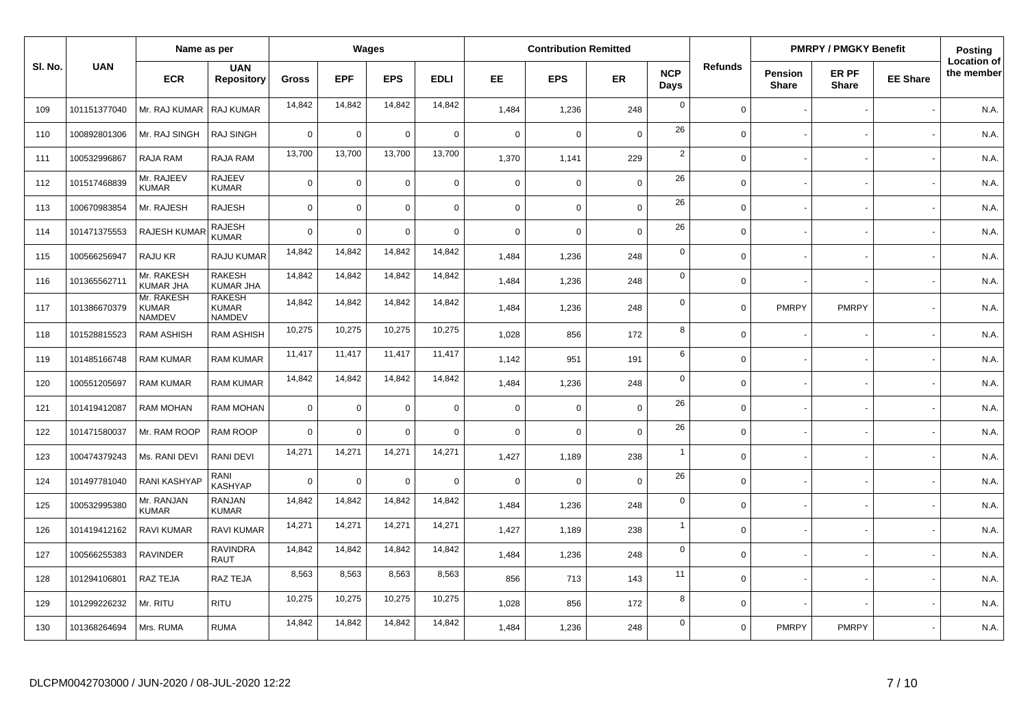|         |              | Name as per                          |                                                |              |             | Wages          |             |             | <b>Contribution Remitted</b> |                |                    |                |                         | <b>PMRPY / PMGKY Benefit</b> |                 | <b>Posting</b>                   |
|---------|--------------|--------------------------------------|------------------------------------------------|--------------|-------------|----------------|-------------|-------------|------------------------------|----------------|--------------------|----------------|-------------------------|------------------------------|-----------------|----------------------------------|
| SI. No. | <b>UAN</b>   | <b>ECR</b>                           | <b>UAN</b><br><b>Repository</b>                | <b>Gross</b> | <b>EPF</b>  | <b>EPS</b>     | <b>EDLI</b> | EE          | <b>EPS</b>                   | ER             | <b>NCP</b><br>Days | <b>Refunds</b> | Pension<br><b>Share</b> | ER PF<br><b>Share</b>        | <b>EE Share</b> | <b>Location of</b><br>the member |
| 109     | 101151377040 | Mr. RAJ KUMAR                        | RAJ KUMAR                                      | 14,842       | 14,842      | 14,842         | 14,842      | 1,484       | 1,236                        | 248            | $\mathbf 0$        | $\Omega$       |                         |                              |                 | N.A.                             |
| 110     | 100892801306 | Mr. RAJ SINGH                        | RAJ SINGH                                      | $\Omega$     | 0           | $\overline{0}$ | $\mathsf 0$ | $\mathbf 0$ | $\Omega$                     | $\mathbf 0$    | 26                 | $\Omega$       |                         |                              |                 | N.A.                             |
| 111     | 100532996867 | RAJA RAM                             | RAJA RAM                                       | 13,700       | 13,700      | 13,700         | 13,700      | 1,370       | 1,141                        | 229            | $\overline{2}$     | $\Omega$       |                         |                              |                 | N.A.                             |
| 112     | 101517468839 | Mr. RAJEEV<br><b>KUMAR</b>           | <b>RAJEEV</b><br><b>KUMAR</b>                  | $\mathbf 0$  | 0           | $\Omega$       | $\mathsf 0$ | $\mathbf 0$ | $\Omega$                     | $\mathbf 0$    | 26                 | $\Omega$       |                         |                              |                 | N.A.                             |
| 113     | 100670983854 | Mr. RAJESH                           | <b>RAJESH</b>                                  | $\mathbf 0$  | 0           | $\Omega$       | $\mathbf 0$ | $\mathbf 0$ | $\mathbf 0$                  | $\mathbf 0$    | 26                 | $\Omega$       |                         |                              |                 | N.A.                             |
| 114     | 101471375553 | <b>RAJESH KUMAF</b>                  | <b>RAJESH</b><br><b>KUMAR</b>                  | $\Omega$     | 0           | $\Omega$       | $\mathbf 0$ | $\mathbf 0$ | $\mathbf 0$                  | $\mathbf 0$    | 26                 | $\Omega$       |                         |                              |                 | N.A.                             |
| 115     | 100566256947 | RAJU KR                              | RAJU KUMAR                                     | 14,842       | 14,842      | 14,842         | 14,842      | 1,484       | 1,236                        | 248            | $\mathbf 0$        | $\mathbf 0$    |                         |                              |                 | N.A.                             |
| 116     | 101365562711 | Mr. RAKESH<br><b>KUMAR JHA</b>       | <b>RAKESH</b><br><b>KUMAR JHA</b>              | 14,842       | 14,842      | 14,842         | 14,842      | 1,484       | 1,236                        | 248            | $\mathbf 0$        | $\Omega$       |                         |                              |                 | N.A.                             |
| 117     | 101386670379 | Mr. RAKESH<br><b>KUMAR</b><br>NAMDEV | <b>RAKESH</b><br><b>KUMAR</b><br><b>NAMDEV</b> | 14,842       | 14,842      | 14,842         | 14,842      | 1,484       | 1,236                        | 248            | $\mathbf 0$        | $\Omega$       | <b>PMRPY</b>            | <b>PMRPY</b>                 |                 | N.A.                             |
| 118     | 101528815523 | <b>RAM ASHISH</b>                    | <b>RAM ASHISH</b>                              | 10,275       | 10,275      | 10,275         | 10,275      | 1,028       | 856                          | 172            | 8                  | $\Omega$       |                         |                              |                 | N.A.                             |
| 119     | 101485166748 | <b>RAM KUMAR</b>                     | <b>RAM KUMAR</b>                               | 11,417       | 11,417      | 11,417         | 11,417      | 1,142       | 951                          | 191            | 6                  | $\Omega$       |                         |                              |                 | N.A.                             |
| 120     | 100551205697 | <b>RAM KUMAR</b>                     | <b>RAM KUMAR</b>                               | 14,842       | 14,842      | 14,842         | 14,842      | 1,484       | 1,236                        | 248            | $\mathbf 0$        | $\Omega$       |                         |                              |                 | N.A.                             |
| 121     | 101419412087 | <b>RAM MOHAN</b>                     | <b>RAM MOHAN</b>                               | $\mathbf 0$  | 0           | $\Omega$       | $\mathbf 0$ | $\mathbf 0$ | $\mathbf 0$                  | $\mathbf 0$    | 26                 | $\Omega$       |                         |                              |                 | N.A.                             |
| 122     | 101471580037 | Mr. RAM ROOP                         | <b>RAM ROOP</b>                                | $\Omega$     | $\mathbf 0$ | $\Omega$       | $\mathbf 0$ | $\mathbf 0$ | $\mathbf 0$                  | $\mathbf 0$    | 26                 | $\Omega$       |                         |                              |                 | N.A.                             |
| 123     | 100474379243 | Ms. RANI DEVI                        | <b>RANI DEVI</b>                               | 14,271       | 14,271      | 14,271         | 14,271      | 1,427       | 1,189                        | 238            | $\overline{1}$     | $\Omega$       |                         |                              |                 | N.A.                             |
| 124     | 101497781040 | <b>RANI KASHYAF</b>                  | RANI<br>KASHYAP                                | $\mathbf 0$  | $\mathbf 0$ | $\Omega$       | $\mathbf 0$ | $\mathbf 0$ | $\mathbf 0$                  | $\overline{0}$ | 26                 | $\Omega$       |                         |                              |                 | N.A.                             |
| 125     | 100532995380 | Mr. RANJAN<br><b>KUMAR</b>           | <b>RANJAN</b><br><b>KUMAR</b>                  | 14,842       | 14,842      | 14,842         | 14,842      | 1.484       | 1,236                        | 248            | $\mathbf 0$        | $\Omega$       |                         |                              |                 | N.A.                             |
| 126     | 101419412162 | RAVI KUMAR                           | RAVI KUMAR                                     | 14,271       | 14,271      | 14,271         | 14,271      | 1,427       | 1,189                        | 238            | $\overline{1}$     | $\Omega$       |                         |                              |                 | N.A.                             |
| 127     | 100566255383 | <b>RAVINDER</b>                      | <b>RAVINDRA</b><br><b>RAUT</b>                 | 14,842       | 14,842      | 14,842         | 14,842      | 1.484       | 1,236                        | 248            | $\mathbf 0$        | $\Omega$       |                         |                              |                 | N.A.                             |
| 128     | 101294106801 | RAZ TEJA                             | RAZ TEJA                                       | 8,563        | 8,563       | 8,563          | 8,563       | 856         | 713                          | 143            | 11                 | $\Omega$       |                         |                              |                 | N.A.                             |
| 129     | 101299226232 | Mr. RITU                             | <b>RITU</b>                                    | 10,275       | 10,275      | 10,275         | 10,275      | 1,028       | 856                          | 172            | 8                  | $\Omega$       |                         |                              |                 | N.A.                             |
| 130     | 101368264694 | Mrs. RUMA                            | <b>RUMA</b>                                    | 14,842       | 14,842      | 14,842         | 14,842      | 1.484       | 1,236                        | 248            | $\mathbf 0$        | $\Omega$       | <b>PMRPY</b>            | <b>PMRPY</b>                 |                 | N.A.                             |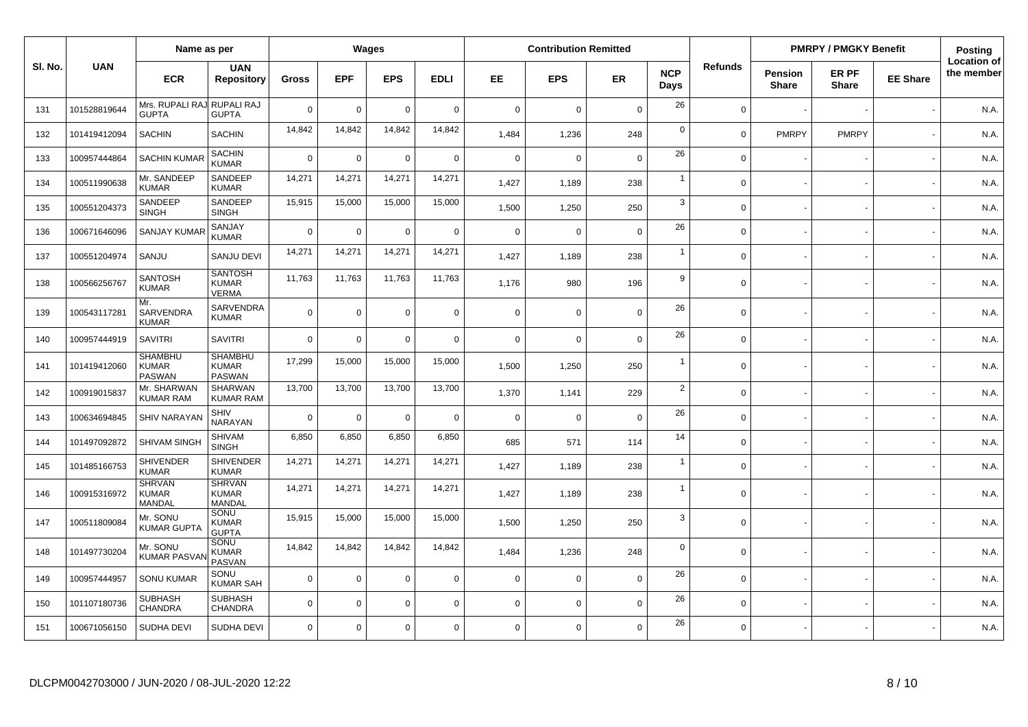|         |              | Name as per                                     |                                                 |                |             | Wages       |             |             | <b>Contribution Remitted</b> |             |                    |                |                                | <b>PMRPY / PMGKY Benefit</b> |                 | Posting                          |
|---------|--------------|-------------------------------------------------|-------------------------------------------------|----------------|-------------|-------------|-------------|-------------|------------------------------|-------------|--------------------|----------------|--------------------------------|------------------------------|-----------------|----------------------------------|
| SI. No. | <b>UAN</b>   | <b>ECR</b>                                      | <b>UAN</b><br><b>Repository</b>                 | <b>Gross</b>   | <b>EPF</b>  | <b>EPS</b>  | <b>EDLI</b> | EE.         | <b>EPS</b>                   | <b>ER</b>   | <b>NCP</b><br>Days | <b>Refunds</b> | <b>Pension</b><br><b>Share</b> | ER PF<br><b>Share</b>        | <b>EE Share</b> | <b>Location of</b><br>the member |
| 131     | 101528819644 | Mrs. RUPALI RA,<br><b>GUPTA</b>                 | RUPALI RAJ<br><b>GUPTA</b>                      | $\overline{0}$ | $\mathbf 0$ | $\mathbf 0$ | $\Omega$    | $\mathbf 0$ | $\Omega$                     | $\Omega$    | 26                 | $\Omega$       |                                |                              |                 | N.A.                             |
| 132     | 101419412094 | <b>SACHIN</b>                                   | <b>SACHIN</b>                                   | 14,842         | 14,842      | 14,842      | 14,842      | 1,484       | 1,236                        | 248         | $\mathbf 0$        | $\Omega$       | <b>PMRPY</b>                   | <b>PMRPY</b>                 |                 | N.A.                             |
| 133     | 100957444864 | <b>SACHIN KUMAR</b>                             | <b>SACHIN</b><br><b>KUMAR</b>                   | $\overline{0}$ | $\mathbf 0$ | $\mathbf 0$ | $\Omega$    | $\mathbf 0$ | $\Omega$                     | $\Omega$    | 26                 | $\mathbf 0$    |                                |                              |                 | N.A.                             |
| 134     | 100511990638 | Mr. SANDEEP<br><b>KUMAR</b>                     | SANDEEP<br><b>KUMAR</b>                         | 14,271         | 14,271      | 14,271      | 14,271      | 1.427       | 1,189                        | 238         | $\overline{1}$     | $\Omega$       |                                |                              |                 | N.A.                             |
| 135     | 100551204373 | SANDEEP<br><b>SINGH</b>                         | SANDEEP<br><b>SINGH</b>                         | 15,915         | 15,000      | 15,000      | 15,000      | 1,500       | 1,250                        | 250         | 3                  | $\mathbf 0$    |                                |                              |                 | N.A.                             |
| 136     | 100671646096 | <b>SANJAY KUMA</b>                              | SANJAY<br><b>KUMAR</b>                          | $\overline{0}$ | $\mathbf 0$ | $\mathbf 0$ | $\mathbf 0$ | $\mathbf 0$ | $\Omega$                     | $\mathbf 0$ | 26                 | $\mathbf 0$    |                                |                              |                 | N.A.                             |
| 137     | 100551204974 | SANJU                                           | SANJU DEVI                                      | 14,271         | 14,271      | 14,271      | 14,271      | 1,427       | 1,189                        | 238         | $\mathbf{1}$       | $\mathbf 0$    |                                |                              |                 | N.A.                             |
| 138     | 100566256767 | <b>SANTOSH</b><br><b>KUMAR</b>                  | <b>SANTOSH</b><br><b>KUMAR</b><br><b>VERMA</b>  | 11,763         | 11,763      | 11,763      | 11,763      | 1,176       | 980                          | 196         | 9                  | $\mathbf 0$    |                                |                              |                 | N.A.                             |
| 139     | 100543117281 | Mr.<br>SARVENDRA<br><b>KUMAR</b>                | SARVENDRA<br><b>KUMAR</b>                       | $\overline{0}$ | $\mathbf 0$ | $\mathbf 0$ | $\mathbf 0$ | $\mathbf 0$ | $\Omega$                     | $\mathbf 0$ | 26                 | $\mathbf 0$    |                                |                              |                 | N.A.                             |
| 140     | 100957444919 | <b>SAVITRI</b>                                  | <b>SAVITRI</b>                                  | $\overline{0}$ | $\mathbf 0$ | $\mathbf 0$ | $\Omega$    | $\mathbf 0$ | $\overline{0}$               | $\Omega$    | 26                 | $\mathbf 0$    |                                |                              |                 | N.A.                             |
| 141     | 101419412060 | <b>SHAMBHU</b><br><b>KUMAR</b><br><b>PASWAN</b> | <b>SHAMBHU</b><br><b>KUMAR</b><br><b>PASWAN</b> | 17,299         | 15,000      | 15,000      | 15,000      | 1,500       | 1,250                        | 250         | $\overline{1}$     | $\mathbf 0$    |                                |                              |                 | N.A.                             |
| 142     | 100919015837 | Mr. SHARWAN<br><b>KUMAR RAM</b>                 | SHARWAN<br><b>KUMAR RAM</b>                     | 13,700         | 13,700      | 13,700      | 13,700      | 1,370       | 1,141                        | 229         | $\overline{2}$     | $\Omega$       |                                |                              |                 | N.A.                             |
| 143     | 100634694845 | <b>SHIV NARAYA</b>                              | <b>SHIV</b><br><b>NARAYAN</b>                   | $\overline{0}$ | $\mathbf 0$ | $\mathbf 0$ | $\mathbf 0$ | $\mathsf 0$ | $\Omega$                     | $\mathbf 0$ | 26                 | $\mathbf 0$    |                                |                              |                 | N.A.                             |
| 144     | 101497092872 | SHIVAM SINGH                                    | <b>SHIVAM</b><br><b>SINGH</b>                   | 6,850          | 6,850       | 6,850       | 6,850       | 685         | 571                          | 114         | 14                 | $\mathbf 0$    |                                |                              |                 | N.A.                             |
| 145     | 101485166753 | <b>SHIVENDER</b><br><b>KUMAR</b>                | <b>SHIVENDER</b><br><b>KUMAR</b>                | 14,271         | 14,271      | 14,271      | 14,271      | 1,427       | 1,189                        | 238         | $\mathbf{1}$       | $\mathbf 0$    |                                |                              |                 | N.A.                             |
| 146     | 100915316972 | <b>SHRVAN</b><br><b>KUMAR</b><br><b>MANDAL</b>  | <b>SHRVAN</b><br><b>KUMAR</b><br><b>MANDAL</b>  | 14,271         | 14,271      | 14,271      | 14,271      | 1,427       | 1,189                        | 238         | $\overline{1}$     | $\Omega$       |                                |                              |                 | N.A.                             |
| 147     | 100511809084 | Mr. SONU<br><b>KUMAR GUPTA</b>                  | SONU<br><b>KUMAR</b><br><b>GUPTA</b>            | 15,915         | 15,000      | 15,000      | 15,000      | 1,500       | 1,250                        | 250         | 3                  | $\Omega$       |                                |                              |                 | N.A.                             |
| 148     | 101497730204 | Mr. SONU<br><b>KUMAR PASVA</b>                  | SONU<br><b>KUMAR</b><br>PASVAN                  | 14,842         | 14,842      | 14,842      | 14,842      | 1,484       | 1,236                        | 248         | $\mathbf 0$        | $\Omega$       |                                |                              |                 | N.A.                             |
| 149     | 100957444957 | <b>SONU KUMAR</b>                               | SONU<br><b>KUMAR SAH</b>                        | $\overline{0}$ | $\mathsf 0$ | $\mathbf 0$ | $\mathbf 0$ | $\mathbf 0$ | $\overline{0}$               | $\mathbf 0$ | 26                 | $\mathbf 0$    |                                |                              |                 | N.A.                             |
| 150     | 101107180736 | <b>SUBHASH</b><br>CHANDRA                       | <b>SUBHASH</b><br>CHANDRA                       | $\overline{0}$ | $\mathsf 0$ | $\mathbf 0$ | $\mathbf 0$ | $\mathbf 0$ | $\overline{0}$               | $\mathbf 0$ | 26                 | $\mathbf 0$    |                                |                              |                 | N.A.                             |
| 151     | 100671056150 | <b>SUDHA DEVI</b>                               | <b>SUDHA DEVI</b>                               | $\overline{0}$ | $\mathsf 0$ | $\mathbf 0$ | $\mathbf 0$ | $\mathbf 0$ | $\mathbf 0$                  | $\mathbf 0$ | 26                 | $\mathbf 0$    |                                |                              |                 | N.A.                             |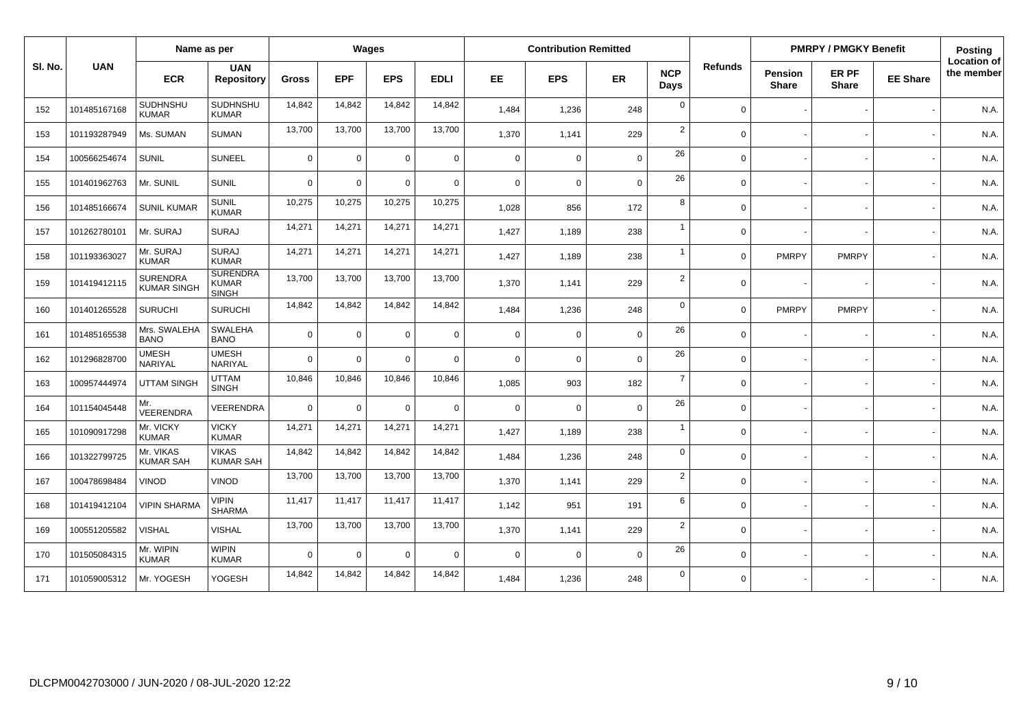|        |              | Name as per                           |                                                 |              |             | Wages          |             |             | <b>Contribution Remitted</b> |             |                    |                |                                | <b>PMRPY / PMGKY Benefit</b> |                 | Posting                          |
|--------|--------------|---------------------------------------|-------------------------------------------------|--------------|-------------|----------------|-------------|-------------|------------------------------|-------------|--------------------|----------------|--------------------------------|------------------------------|-----------------|----------------------------------|
| SI. No | <b>UAN</b>   | <b>ECR</b>                            | <b>UAN</b><br><b>Repository</b>                 | <b>Gross</b> | <b>EPF</b>  | <b>EPS</b>     | <b>EDLI</b> | <b>EE</b>   | <b>EPS</b>                   | ER          | <b>NCP</b><br>Days | <b>Refunds</b> | <b>Pension</b><br><b>Share</b> | ER PF<br><b>Share</b>        | <b>EE Share</b> | <b>Location of</b><br>the member |
| 152    | 101485167168 | SUDHNSHU<br><b>KUMAR</b>              | SUDHNSHU<br><b>KUMAR</b>                        | 14,842       | 14,842      | 14,842         | 14,842      | 1.484       | 1,236                        | 248         | $\mathbf 0$        | $\Omega$       |                                |                              |                 | N.A.                             |
| 153    | 101193287949 | Ms. SUMAN                             | <b>SUMAN</b>                                    | 13,700       | 13,700      | 13,700         | 13,700      | 1,370       | 1,141                        | 229         | $\overline{2}$     | $\Omega$       |                                |                              |                 | N.A.                             |
| 154    | 100566254674 | <b>SUNIL</b>                          | <b>SUNEEL</b>                                   | $\mathbf 0$  | $\mathbf 0$ | $\Omega$       | $\mathbf 0$ | $\mathbf 0$ | $\mathbf 0$                  | $\mathbf 0$ | 26                 | $\Omega$       |                                |                              |                 | N.A.                             |
| 155    | 101401962763 | Mr. SUNIL                             | <b>SUNIL</b>                                    | $\Omega$     | $\Omega$    | $\Omega$       | $\Omega$    | $\Omega$    | $\Omega$                     | $\mathbf 0$ | 26                 | $\Omega$       |                                |                              |                 | N.A.                             |
| 156    | 101485166674 | <b>SUNIL KUMAR</b>                    | <b>SUNIL</b><br><b>KUMAR</b>                    | 10,275       | 10,275      | 10,275         | 10,275      | 1,028       | 856                          | 172         | 8                  | $\Omega$       |                                |                              |                 | N.A.                             |
| 157    | 101262780101 | Mr. SURAJ                             | <b>SURAJ</b>                                    | 14,271       | 14,271      | 14,271         | 14,271      | 1,427       | 1,189                        | 238         | $\overline{1}$     | $\Omega$       |                                |                              |                 | N.A.                             |
| 158    | 101193363027 | Mr. SURAJ<br><b>KUMAR</b>             | <b>SURAJ</b><br><b>KUMAR</b>                    | 14,271       | 14,271      | 14,271         | 14,271      | 1,427       | 1,189                        | 238         | $\overline{1}$     | $\Omega$       | <b>PMRPY</b>                   | <b>PMRPY</b>                 |                 | N.A.                             |
| 159    | 101419412115 | <b>SURENDRA</b><br><b>KUMAR SINGH</b> | <b>SURENDRA</b><br><b>KUMAR</b><br><b>SINGH</b> | 13,700       | 13,700      | 13,700         | 13,700      | 1,370       | 1,141                        | 229         | $\overline{2}$     | $\Omega$       |                                |                              |                 | N.A.                             |
| 160    | 101401265528 | <b>SURUCHI</b>                        | <b>SURUCHI</b>                                  | 14,842       | 14,842      | 14,842         | 14,842      | 1,484       | 1,236                        | 248         | $\mathbf 0$        | $\Omega$       | <b>PMRPY</b>                   | <b>PMRPY</b>                 |                 | N.A.                             |
| 161    | 101485165538 | Mrs. SWALEHA<br><b>BANO</b>           | <b>SWALEHA</b><br><b>BANO</b>                   | $\Omega$     | $\mathbf 0$ | $\Omega$       | $\mathbf 0$ | $\mathbf 0$ | $\mathbf 0$                  | $\mathbf 0$ | 26                 | $\Omega$       |                                |                              |                 | N.A.                             |
| 162    | 101296828700 | <b>UMESH</b><br>NARIYAL               | <b>UMESH</b><br>NARIYAL                         | $\Omega$     | 0           | $\Omega$       | $\mathbf 0$ | $\Omega$    | $\mathbf 0$                  | $\mathbf 0$ | 26                 | $\Omega$       |                                |                              |                 | N.A.                             |
| 163    | 100957444974 | <b>UTTAM SINGH</b>                    | <b>UTTAM</b><br><b>SINGH</b>                    | 10,846       | 10,846      | 10,846         | 10,846      | 1,085       | 903                          | 182         | $\overline{7}$     | $\Omega$       |                                |                              |                 | N.A.                             |
| 164    | 101154045448 | Mr.<br>VEERENDRA                      | VEERENDRA                                       | $\mathbf 0$  | 0           | $\overline{0}$ | $\mathbf 0$ | $\mathbf 0$ | $\mathbf 0$                  | $\mathbf 0$ | 26                 | $\Omega$       |                                |                              |                 | N.A.                             |
| 165    | 101090917298 | Mr. VICKY<br><b>KUMAR</b>             | <b>VICKY</b><br><b>KUMAR</b>                    | 14,271       | 14,271      | 14,271         | 14,271      | 1.427       | 1,189                        | 238         | $\overline{1}$     | $\Omega$       |                                |                              |                 | N.A.                             |
| 166    | 101322799725 | Mr. VIKAS<br><b>KUMAR SAH</b>         | <b>VIKAS</b><br><b>KUMAR SAH</b>                | 14,842       | 14,842      | 14,842         | 14,842      | 1,484       | 1,236                        | 248         | $\mathbf 0$        | $\Omega$       |                                |                              |                 | N.A.                             |
| 167    | 100478698484 | VINOD                                 | <b>VINOD</b>                                    | 13,700       | 13,700      | 13,700         | 13,700      | 1,370       | 1,141                        | 229         | $\overline{2}$     | $\Omega$       |                                |                              |                 | N.A.                             |
| 168    | 101419412104 | <b>VIPIN SHARMA</b>                   | <b>VIPIN</b><br><b>SHARMA</b>                   | 11,417       | 11,417      | 11,417         | 11,417      | 1,142       | 951                          | 191         | 6                  | $\Omega$       |                                |                              |                 | N.A.                             |
| 169    | 100551205582 | <b>VISHAL</b>                         | <b>VISHAL</b>                                   | 13,700       | 13,700      | 13,700         | 13,700      | 1,370       | 1,141                        | 229         | $\overline{2}$     | $\Omega$       |                                |                              |                 | N.A.                             |
| 170    | 101505084315 | Mr. WIPIN<br><b>KUMAR</b>             | <b>WIPIN</b><br><b>KUMAR</b>                    | $\Omega$     | $\Omega$    | $\Omega$       | $\mathbf 0$ | $\Omega$    | $\mathbf 0$                  | $\mathbf 0$ | 26                 | $\Omega$       |                                |                              |                 | N.A.                             |
| 171    | 101059005312 | Mr. YOGESH                            | YOGESH                                          | 14,842       | 14,842      | 14,842         | 14,842      | 1.484       | 1,236                        | 248         | $\overline{0}$     | $\Omega$       |                                |                              |                 | N.A.                             |